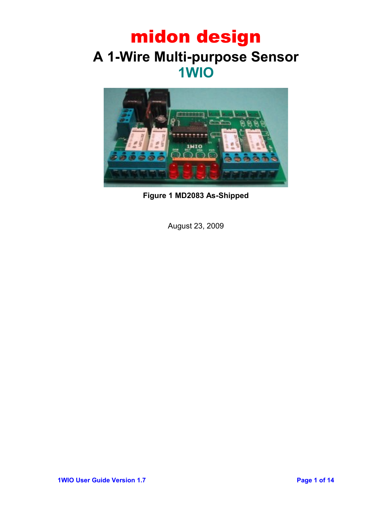### midon design **A 1-Wire Multi-purpose Sensor 1WIO**



**Figure 1 MD2083 As-Shipped**

August 23, 2009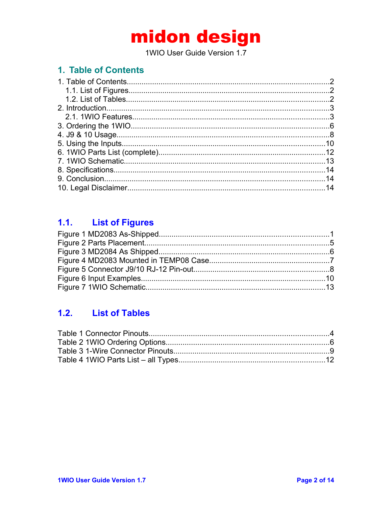1WIO User Guide Version 1.7

### 1. Table of Contents

### 1.1. List of Figures

### 1.2. List of Tables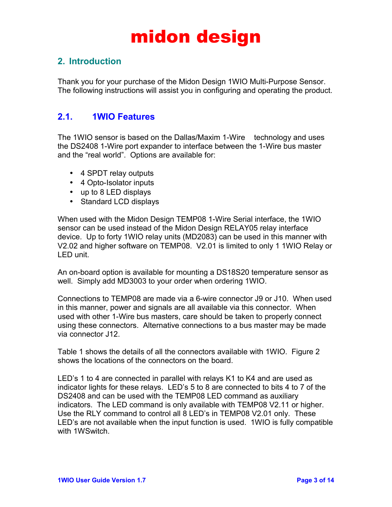### **2. Introduction**

Thank you for your purchase of the Midon Design 1WIO Multi-Purpose Sensor. The following instructions will assist you in configuring and operating the product.

### **2.1. 1WIO Features**

The 1WIO sensor is based on the Dallas/Maxim 1-Wire<sup> $TM$ </sup> technology and uses the DS2408 1-Wire port expander to interface between the 1-Wire bus master and the "real world". Options are available for:

- 4 SPDT relay outputs
- 4 Opto-Isolator inputs
- up to 8 LED displays
- Standard LCD displays

When used with the Midon Design TEMP08 1-Wire Serial interface, the 1WIO sensor can be used instead of the Midon Design RELAY05 relay interface device. Up to forty 1WIO relay units (MD2083) can be used in this manner with V2.02 and higher software on TEMP08. V2.01 is limited to only 1 1WIO Relay or LED unit.

An on-board option is available for mounting a DS18S20 temperature sensor as well. Simply add MD3003 to your order when ordering 1WIO.

Connections to TEMP08 are made via a 6-wire connector J9 or J10. When used in this manner, power and signals are all available via this connector. When used with other 1-Wire bus masters, care should be taken to properly connect using these connectors. Alternative connections to a bus master may be made via connector J12.

Table 1 shows the details of all the connectors available with 1WIO. Figure 2 shows the locations of the connectors on the board.

LED's 1 to 4 are connected in parallel with relays K1 to K4 and are used as indicator lights for these relays. LED's 5 to 8 are connected to bits 4 to 7 of the DS2408 and can be used with the TEMP08 LED command as auxiliary indicators. The LED command is only available with TEMP08 V2.11 or higher. Use the RLY command to control all 8 LED's in TEMP08 V2.01 only. These LED's are not available when the input function is used. 1WIO is fully compatible with 1WSwitch.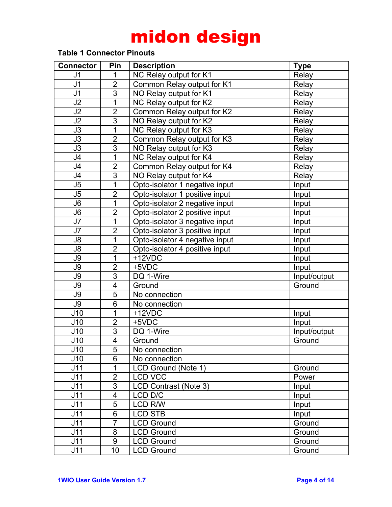#### **Table 1 Connector Pinouts**

| <b>Connector</b>         | Pin                     | <b>Description</b>             | <b>Type</b>  |
|--------------------------|-------------------------|--------------------------------|--------------|
| J <sub>1</sub>           | 1                       | NC Relay output for K1         | Relay        |
| J <sub>1</sub>           | $\overline{2}$          | Common Relay output for K1     | Relay        |
| $\overline{J}1$          | $\overline{3}$          | NO Relay output for K1         | Relay        |
| J2                       | $\overline{1}$          | NC Relay output for K2         | Relay        |
| J2                       | $\overline{2}$          | Common Relay output for K2     | Relay        |
| J2                       | $\overline{3}$          | NO Relay output for K2         | Relay        |
| J3                       | $\mathbf 1$             | NC Relay output for K3         | Relay        |
| J3                       | $\overline{2}$          | Common Relay output for K3     | Relay        |
| J3                       | $\overline{3}$          | NO Relay output for K3         | Relay        |
| J <sub>4</sub>           | 1                       | NC Relay output for K4         | Relay        |
| J4                       | $\overline{2}$          | Common Relay output for K4     | Relay        |
| J4                       | $\overline{3}$          | NO Relay output for K4         | Relay        |
| J5                       | $\mathbf 1$             | Opto-isolator 1 negative input | Input        |
| J5                       | $\overline{2}$          | Opto-isolator 1 positive input | Input        |
| J6                       | $\overline{1}$          | Opto-isolator 2 negative input | Input        |
| J6                       | $\overline{2}$          | Opto-isolator 2 positive input | Input        |
| J7                       | $\mathbf 1$             | Opto-isolator 3 negative input | Input        |
| J7                       | $\overline{2}$          | Opto-isolator 3 positive input | Input        |
| J8                       | $\overline{1}$          | Opto-isolator 4 negative input | Input        |
| $\overline{\mathsf{J8}}$ | $\overline{2}$          | Opto-isolator 4 positive input | Input        |
| J9                       | $\mathbf{1}$            | $+12VDC$<br>Input              |              |
| J9                       | $\overline{2}$          | +5VDC<br>Input                 |              |
| J9                       | $\overline{3}$          | DQ 1-Wire                      | Input/output |
| J9                       | 4                       | Ground                         | Ground       |
| J9                       | $\overline{5}$          | No connection                  |              |
| J9                       | 6                       | No connection                  |              |
| J10                      | 1                       | $+12VDC$                       | Input        |
| J10                      | $\overline{2}$          | +5VDC                          | Input        |
| J10                      | 3                       | DQ 1-Wire                      | Input/output |
| J10                      | $\overline{\mathbf{4}}$ | Ground                         | Ground       |
| J10                      | 5                       | No connection                  |              |
| J10                      | 6                       | No connection                  |              |
| J11                      | 1                       | LCD Ground (Note 1)            | Ground       |
| J11                      | $\overline{2}$          | <b>LCD VCC</b>                 | Power        |
| J11                      | $\overline{3}$          | LCD Contrast (Note 3)          | Input        |
| J11                      | 4                       | LCD D/C                        | Input        |
| J11                      | 5                       | LCD R/W                        | Input        |
| J11                      | 6                       | <b>LCD STB</b>                 | Input        |
| J11                      | $\overline{7}$          | <b>LCD Ground</b>              | Ground       |
| J11                      | 8                       | <b>LCD Ground</b>              | Ground       |
| J11                      | 9                       | <b>LCD Ground</b>              | Ground       |
| J11                      | 10                      | <b>LCD Ground</b>              | Ground       |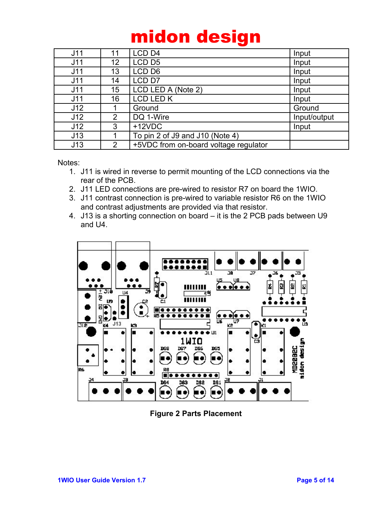| J11 | 11             | LCD <sub>D4</sub>                     | Input        |
|-----|----------------|---------------------------------------|--------------|
| J11 | 12             | LCD <sub>D5</sub>                     | Input        |
| J11 | 13             | LCD D6                                | Input        |
| J11 | 14             | LCD <sub>D7</sub>                     | Input        |
| J11 | 15             | LCD LED A (Note 2)                    | Input        |
| J11 | 16             | LCD LED K                             | Input        |
| J12 |                | Ground                                | Ground       |
| J12 | $\overline{2}$ | DQ 1-Wire                             | Input/output |
| J12 | 3              | $+12VDC$                              | Input        |
| J13 |                | To pin 2 of J9 and J10 (Note 4)       |              |
| J13 | 2              | +5VDC from on-board voltage regulator |              |

Notes:

- 1. J11 is wired in reverse to permit mounting of the LCD connections via the rear of the PCB.
- 2. J11 LED connections are pre-wired to resistor R7 on board the 1WIO.
- 3. J11 contrast connection is pre-wired to variable resistor R6 on the 1WIO and contrast adjustments are provided via that resistor.
- 4. J13 is a shorting connection on board it is the 2 PCB pads between U9 and U4.



**Figure 2 Parts Placement**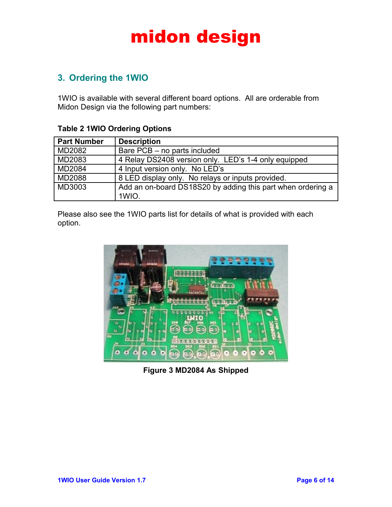### **3. Ordering the 1WIO**

1WIO is available with several different board options. All are orderable from Midon Design via the following part numbers:

| <b>Part Number</b> | <b>Description</b>                                          |
|--------------------|-------------------------------------------------------------|
| l MD2082           | Bare PCB – no parts included                                |
| MD2083             | 4 Relay DS2408 version only. LED's 1-4 only equipped        |
| MD2084             | 4 Input version only. No LED's                              |
| MD2088             | 8 LED display only. No relays or inputs provided.           |
| MD3003             | Add an on-board DS18S20 by adding this part when ordering a |
|                    | 1WIO.                                                       |

#### **Table 2 1WIO Ordering Options**

Please also see the 1WIO parts list for details of what is provided with each option.



**Figure 3 MD2084 As Shipped**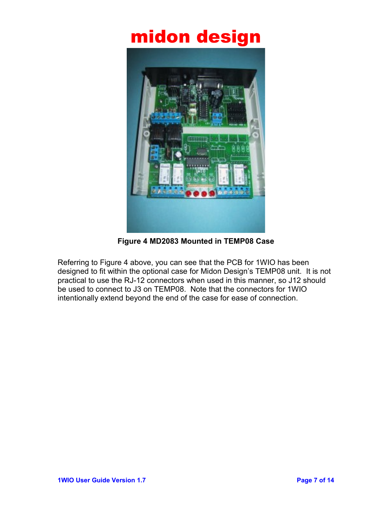

**Figure 4 MD2083 Mounted in TEMP08 Case**

Referring to Figure 4 above, you can see that the PCB for 1WIO has been designed to fit within the optional case for Midon Design's TEMP08 unit. It is not practical to use the RJ-12 connectors when used in this manner, so J12 should be used to connect to J3 on TEMP08. Note that the connectors for 1WIO intentionally extend beyond the end of the case for ease of connection.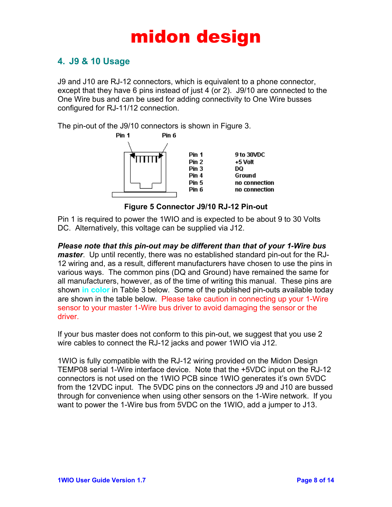### **4. J9 & 10 Usage**

J9 and J10 are RJ-12 connectors, which is equivalent to a phone connector, except that they have 6 pins instead of just 4 (or 2). J9/10 are connected to the One Wire bus and can be used for adding connectivity to One Wire busses configured for RJ-11/12 connection.

The pin-out of the J9/10 connectors is shown in Figure 3.



#### **Figure 5 Connector J9/10 RJ-12 Pin-out**

Pin 1 is required to power the 1WIO and is expected to be about 9 to 30 Volts DC. Alternatively, this voltage can be supplied via J12.

*Please note that this pin-out may be different than that of your 1-Wire bus master*. Up until recently, there was no established standard pin-out for the RJ-12 wiring and, as a result, different manufacturers have chosen to use the pins in various ways. The common pins (DQ and Ground) have remained the same for all manufacturers, however, as of the time of writing this manual. These pins are shown **in color** in Table 3 below. Some of the published pin-outs available today are shown in the table below. Please take caution in connecting up your 1-Wire sensor to your master 1-Wire bus driver to avoid damaging the sensor or the driver.

If your bus master does not conform to this pin-out, we suggest that you use 2 wire cables to connect the RJ-12 jacks and power 1WIO via J12.

1WIO is fully compatible with the RJ-12 wiring provided on the Midon Design TEMP08 serial 1-Wire interface device. Note that the +5VDC input on the RJ-12 connectors is not used on the 1WIO PCB since 1WIO generates it's own 5VDC from the 12VDC input. The 5VDC pins on the connectors J9 and J10 are bussed through for convenience when using other sensors on the 1-Wire network. If you want to power the 1-Wire bus from 5VDC on the 1WIO, add a jumper to J13.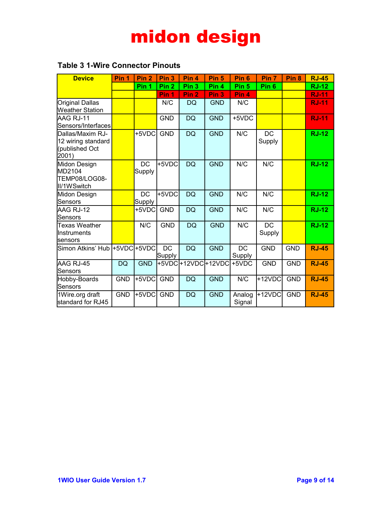#### **Table 3 1-Wire Connector Pinouts**

| <b>Device</b>                                                     | Pin 1      | Pin <sub>2</sub>       | Pin <sub>3</sub> | Pin 4                 | Pin <sub>5</sub> | Pin <sub>6</sub>    | Pin 7               | Pin <sub>8</sub> | <b>RJ-45</b> |
|-------------------------------------------------------------------|------------|------------------------|------------------|-----------------------|------------------|---------------------|---------------------|------------------|--------------|
|                                                                   |            | Pin 1                  | Pin <sub>2</sub> | Pin <sub>3</sub>      | Pin 4            | Pin <sub>5</sub>    | Pin <sub>6</sub>    |                  | <b>RJ-12</b> |
|                                                                   |            |                        | Pin <sub>1</sub> | Pin <sub>2</sub>      | Pin <sub>3</sub> | Pin <sub>4</sub>    |                     |                  | <b>RJ-11</b> |
| <b>Original Dallas</b><br><b>Weather Station</b>                  |            |                        | N/C              | DQ                    | <b>GND</b>       | N/C                 |                     |                  | <b>RJ-11</b> |
| IAAG RJ-11<br>Sensors/Interfaces                                  |            |                        | <b>GND</b>       | <b>DQ</b>             | <b>GND</b>       | +5VDC               |                     |                  | <b>RJ-11</b> |
| Dallas/Maxim RJ-<br>12 wiring standard<br>(published Oct<br>2001) |            | +5VDC                  | <b>GND</b>       | <b>DQ</b>             | <b>GND</b>       | N/C                 | <b>DC</b><br>Supply |                  | <b>RJ-12</b> |
| Midon Design<br>MD2104<br>TEMP08/LOG08-<br>III/1WSwitch           |            | <b>DC</b><br>Supply    | +5VDC            | <b>DQ</b>             | <b>GND</b>       | N/C                 | N/C                 |                  | <b>RJ-12</b> |
| Midon Design<br>Sensors                                           |            | DC<br>Supply           | l+5VDCl          | <b>DQ</b>             | <b>GND</b>       | N/C                 | N/C                 |                  | <b>RJ-12</b> |
| AAG RJ-12<br>Sensors                                              |            | +5VDC                  | <b>GND</b>       | <b>DQ</b>             | <b>GND</b>       | N/C                 | N/C                 |                  | <b>RJ-12</b> |
| <b>Texas Weather</b><br>Instruments<br>Isensors                   |            | N/C                    | <b>GND</b>       | <b>DQ</b>             | <b>GND</b>       | N/C                 | <b>DC</b><br>Supply |                  | <b>RJ-12</b> |
| Simon Atkins' Hub                                                 |            | +5VDC <sub>+5VDC</sub> | DC<br>Supply     | <b>DQ</b>             | <b>GND</b>       | <b>DC</b><br>Supply | <b>GND</b>          | <b>GND</b>       | <b>RJ-45</b> |
| AAG RJ-45<br>Sensors                                              | <b>DQ</b>  | <b>GND</b>             |                  | +5VDC + 12VDC + 12VDC |                  | +5VDC               | <b>GND</b>          | <b>GND</b>       | <b>RJ-45</b> |
| Hobby-Boards<br>Sensors                                           | <b>GND</b> | +5VDC                  | <b>GND</b>       | <b>DQ</b>             | <b>GND</b>       | N/C                 | $+12VDC$            | <b>GND</b>       | <b>RJ-45</b> |
| 1Wire.org draft<br>standard for RJ45                              | <b>GND</b> | +5VDC                  | <b>GND</b>       | <b>DQ</b>             | <b>GND</b>       | Analog<br>Signal    | +12VDC              | <b>GND</b>       | <b>RJ-45</b> |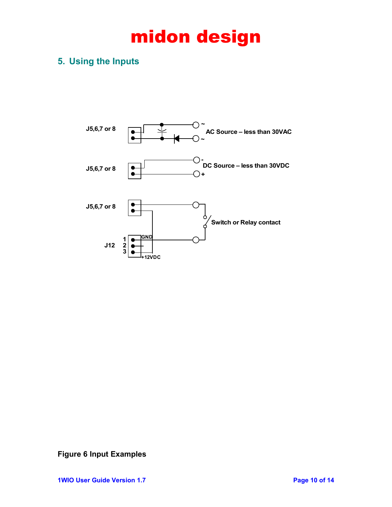### **5. Using the Inputs**



**Figure 6 Input Examples**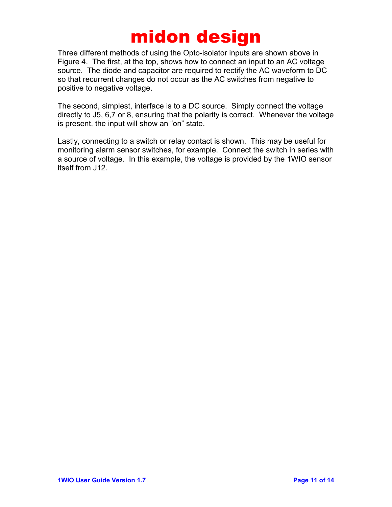Three different methods of using the Opto-isolator inputs are shown above in Figure 4. The first, at the top, shows how to connect an input to an AC voltage source. The diode and capacitor are required to rectify the AC waveform to DC so that recurrent changes do not occur as the AC switches from negative to positive to negative voltage.

The second, simplest, interface is to a DC source. Simply connect the voltage directly to J5, 6,7 or 8, ensuring that the polarity is correct. Whenever the voltage is present, the input will show an "on" state.

Lastly, connecting to a switch or relay contact is shown. This may be useful for monitoring alarm sensor switches, for example. Connect the switch in series with a source of voltage. In this example, the voltage is provided by the 1WIO sensor itself from J12.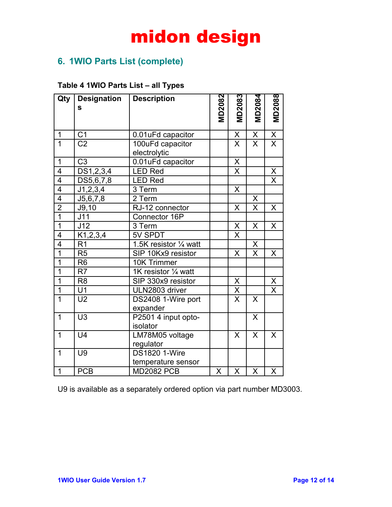### **6. 1WIO Parts List (complete)**

#### **Table 4 1WIO Parts List – all Types**

| Qty            | <b>Designation</b> | <b>Description</b>     |               |                                 |              |                         |
|----------------|--------------------|------------------------|---------------|---------------------------------|--------------|-------------------------|
|                | S                  |                        | <b>MD2082</b> | MD2083                          | MD2084       | MD2088                  |
|                |                    |                        |               |                                 |              |                         |
| 1              | C <sub>1</sub>     | 0.01uFd capacitor      |               | X                               | $\sf X$      | $\mathsf X$             |
| $\overline{1}$ | $\overline{C2}$    | 100uFd capacitor       |               | $\mathsf{X}$                    | $\mathsf{X}$ | $\mathsf{X}$            |
|                |                    | electrolytic           |               |                                 |              |                         |
| $\mathbf 1$    | C <sub>3</sub>     | 0.01uFd capacitor      |               | $\frac{\mathsf{X}}{\mathsf{X}}$ |              |                         |
| $\overline{4}$ | DS1,2,3,4          | <b>LED Red</b>         |               |                                 |              | X                       |
| $\overline{4}$ | DS5, 6, 7, 8       | <b>LED Red</b>         |               |                                 |              | $\overline{\mathsf{x}}$ |
| $\overline{4}$ | J1, 2, 3, 4        | 3 Term                 |               | X                               |              |                         |
| $\overline{4}$ | J5, 6, 7, 8        | 2 Term                 |               |                                 | X            |                         |
| $\frac{2}{1}$  | J9,10              | RJ-12 connector        |               | X                               | X            | X                       |
|                | J11                | Connector 16P          |               |                                 |              |                         |
| $\overline{1}$ | J12                | 3 Term                 |               | $\sf X$                         | X            | X                       |
| $\overline{4}$ | K1, 2, 3, 4        | 5V SPDT                |               | $\overline{\mathsf{X}}$         |              |                         |
| $\overline{4}$ | R <sub>1</sub>     | 1.5K resistor 1/4 watt |               |                                 | X            |                         |
| $\overline{1}$ | R <sub>5</sub>     | SIP 10Kx9 resistor     |               | X                               | X            | X                       |
| $\overline{1}$ | R <sub>6</sub>     | 10K Trimmer            |               |                                 |              |                         |
| $\overline{1}$ | R <sub>7</sub>     | 1K resistor 1/4 watt   |               |                                 |              |                         |
| $\overline{1}$ | R <sub>8</sub>     | SIP 330x9 resistor     |               | X                               |              | X                       |
| $\overline{1}$ | U <sub>1</sub>     | ULN2803 driver         |               | $\overline{\mathsf{x}}$         |              | $\overline{\sf x}$      |
| $\overline{1}$ | U <sub>2</sub>     | DS2408 1-Wire port     |               | X                               | X            |                         |
|                |                    | expander               |               |                                 |              |                         |
| 1              | U3                 | P2501 4 input opto-    |               |                                 | X            |                         |
|                |                    | isolator               |               |                                 |              |                         |
| 1              | U <sub>4</sub>     | LM78M05 voltage        |               | X                               | X            | X                       |
|                |                    | regulator              |               |                                 |              |                         |
| 1              | <b>U9</b>          | <b>DS1820 1-Wire</b>   |               |                                 |              |                         |
|                |                    | temperature sensor     |               |                                 |              |                         |
| 1              | <b>PCB</b>         | <b>MD2082 PCB</b>      | X             | $\boldsymbol{\mathsf{X}}$       | X            | X                       |

U9 is available as a separately ordered option via part number MD3003.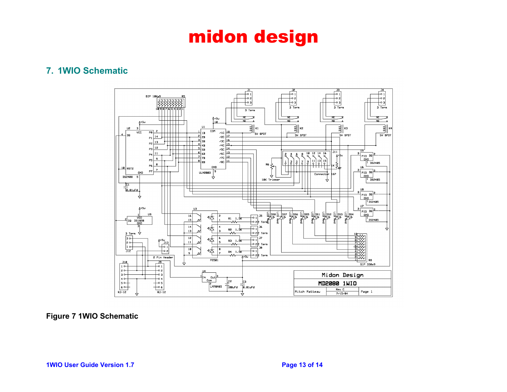#### **7. 1WIO Schematic**



#### **Figure 7 1WIO Schematic**